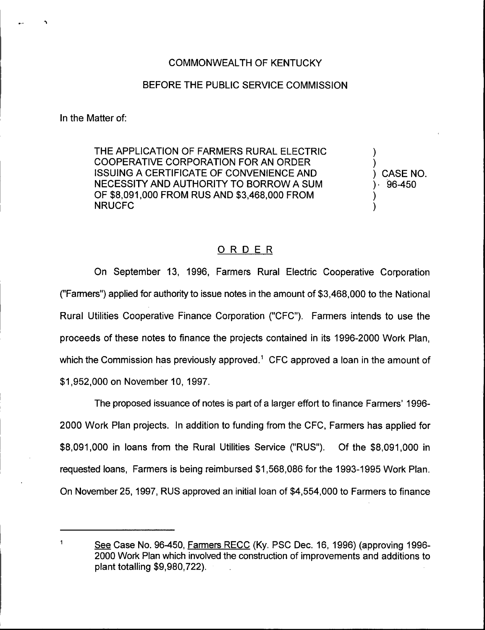## BEFORE THE PUBLIC SERVICE COMMISSION

In the Matter of:

THE APPLICATION OF FARMERS RURAL ELECTRIC COOPERATIVE CORPORATION FOR AN ORDER ISSUING A CERTIFICATE OF CONVENIENCE AND NECESSITY AND AUTHORITY TO BORROW A SUM OF \$8,091,000 FROM RUS AND \$3,468,000 FROM NRUCFC

) CASE NO. ) 96-450

) )

) )

## ORDER

On September 13, 1996, Farmers Rural Electric Cooperative Corporation ("Farmers") applied for authority to issue notes in the amount of \$3,468,000 to the National Rural Utilities Cooperative Finance Corporation {"CFC"). Farmers intends to use the proceeds of these notes to finance the projects contained in its 1996-2000 Work Plan, which the Commission has previously approved.<sup>1</sup> CFC approved a loan in the amount of \$1,952,000 on November 10, 1997.

The proposed issuance of notes is part of a larger effort to finance Farmers' 1996-2000 Work Plan projects. In addition to funding from the CFC, Farmers has applied for \$8,091,000 in loans from the Rural Utilities Service {"RUS"). Of the \$8,091,000 in requested loans, Farmers is being reimbursed \$1,568,086 for the 1993-1995Work Plan. On November 25, 1997, RUS approved an initial loan of \$4,554,000 to Farmers to finance

See Case No. 96-450, Farmers RECC (Ky. PSC Dec. 16, 1996) (approving 1996-2000 Work Plan which involved the construction of improvements and additions to plant totalling \$9,980,?22).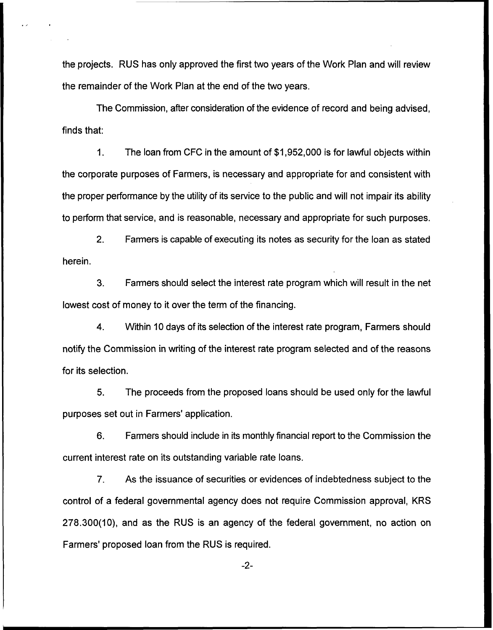the projects. RUS has only approved the first two years of the Work Plan and will review the remainder of the Work Plan at the end of the two years.

The Commission, after consideration of the evidence of record and being advised, finds that:

1. The loan from CFC in the amount of \$1,952,000 is for lawful objects within the corporate purposes of Farmers, is necessary and appropriate for and consistent with the proper performance by the utility of its service to the public and will not impair its ability to perform that service, and is reasonable, necessary and appropriate for such purposes.

2. Farmers is capable of executing its notes as security for the loan as stated herein.

3. Farmers should select the interest rate program which will result in the net lowest cost of money to it over the term of the financing.

4. Within 10 days of its selection of the interest rate program, Farmers should notify the Commission in writing of the interest rate program selected and of the reasons for its selection.

5. The proceeds from the proposed loans should be used only for the lawful purposes set out in Farmers' application.

6. Farmers should include in its monthly financial report to the Commission the current interest rate on its outstanding variable rate loans.

7. As the issuance of securities or evidences of indebtedness subject to the control of a federal governmental agency does not require Commission approval, KRS 278.300(10), and as the RUS is an agency of the federal government, no action on Farmers' proposed loan from the RUS is required.

 $-2-$